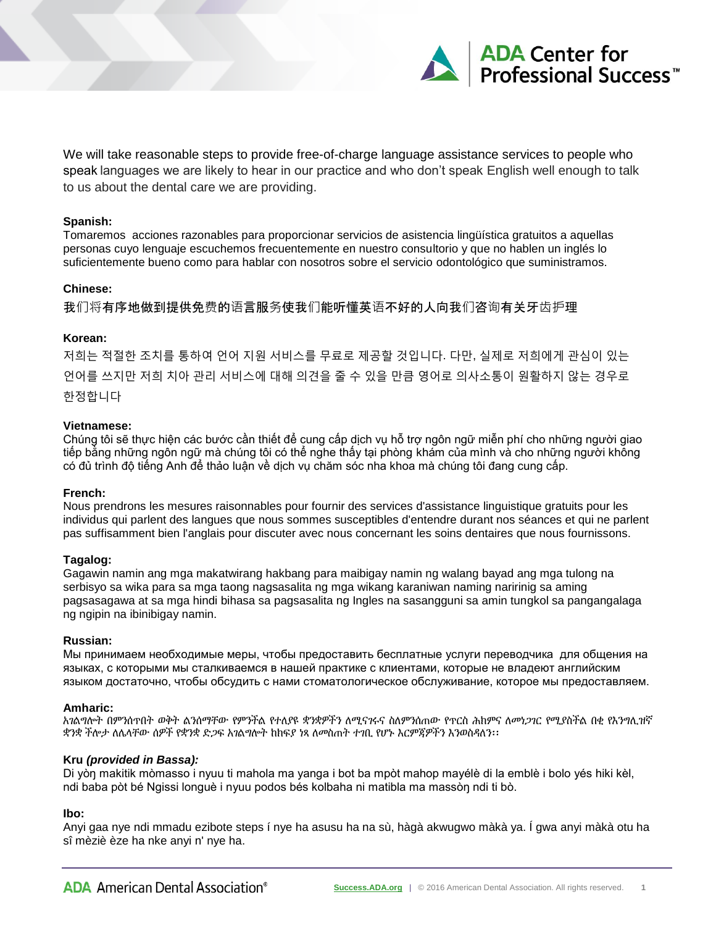

We will take reasonable steps to provide free-of-charge language assistance services to people who speak languages we are likely to hear in our practice and who don't speak English well enough to talk to us about the dental care we are providing.

#### **Spanish:**

Tomaremos acciones razonables para proporcionar servicios de asistencia lingüística gratuitos a aquellas personas cuyo lenguaje escuchemos frecuentemente en nuestro consultorio y que no hablen un inglés lo suficientemente bueno como para hablar con nosotros sobre el servicio odontológico que suministramos.

## **Chinese:**

我们将有序地做到提供免费的语言服务使我们能听懂英语不好的人向我们咨询有关牙齿护理

### **Korean:**

저희는 적절한 조치를 통하여 언어 지원 서비스를 무료로 제공할 것입니다. 다만, 실제로 저희에게 관심이 있는 언어를 쓰지만 저희 치아 관리 서비스에 대해 의견을 줄 수 있을 만큼 영어로 의사소통이 원활하지 않는 경우로 한정합니다

### **Vietnamese:**

Chúng tôi sẽ thực hiện các bước cần thiết để cung cấp dịch vụ hỗ trợ ngôn ngữ miễn phí cho những người giao tiếp bằng những ngôn ngữ mà chúng tôi có thể nghe thấy tại phòng khám của mình và cho những người không có đủ trình độ tiếng Anh để thảo luận về dịch vụ chăm sóc nha khoa mà chúng tôi đang cung cấp.

### **French:**

Nous prendrons les mesures raisonnables pour fournir des services d'assistance linguistique gratuits pour les individus qui parlent des langues que nous sommes susceptibles d'entendre durant nos séances et qui ne parlent pas suffisamment bien l'anglais pour discuter avec nous concernant les soins dentaires que nous fournissons.

### **Tagalog:**

Gagawin namin ang mga makatwirang hakbang para maibigay namin ng walang bayad ang mga tulong na serbisyo sa wika para sa mga taong nagsasalita ng mga wikang karaniwan naming naririnig sa aming pagsasagawa at sa mga hindi bihasa sa pagsasalita ng Ingles na sasangguni sa amin tungkol sa pangangalaga ng ngipin na ibinibigay namin.

#### **Russian:**

Мы принимаем необходимые меры, чтобы предоставить бесплатные услуги переводчика для общения на языках, с которыми мы сталкиваемся в нашей практике с клиентами, которые не владеют английским языком достаточно, чтобы обсудить с нами стоматологическое обслуживание, которое мы предоставляем.

#### **Amharic:**

አገልግሎት በምንሰጥበት ወቅት ልንሰማቸው የምንችል የተለያዩ ቋንቋዎችን ለሚናገሩና ስለምንሰጠው የጥርስ ሕክምና ለመነጋገር የሚያስችል በቂ የእንግሊዝኛ ቋንቋ ችሎታ ለሌላቸው ሰዎች የቋንቋ ድጋፍ አገልግሎት ከክፍያ ነጻ ለመስጠት ተገቢ የሆኑ እርምጃዎችን እንወስዳለን፡፡

### **Kru** *(provided in Bassa):*

Di yòŋ makitik mòmasso i nyuu ti mahola ma yanga i bot ba mpòt mahop mayélè di la emblè i bolo yés hiki kèl, ndi baba pòt bé Ngissi longuè i nyuu podos bés kolbaha ni matibla ma massòŋ ndi ti bò.

### **Ibo:**

Anyi gaa nye ndi mmadu ezibote steps í nye ha asusu ha na sù, hàgà akwugwo màkà ya. Í gwa anyi màkà otu ha sî mèziè èze ha nke anyi n' nye ha.